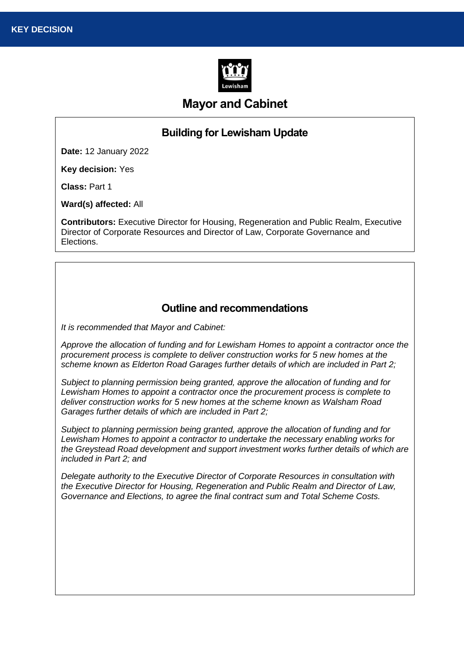

# **Mayor and Cabinet**

# **Building for Lewisham Update**

**Date:** 12 January 2022

**Key decision:** Yes

**Class:** Part 1

**Ward(s) affected:** All

**Contributors:** Executive Director for Housing, Regeneration and Public Realm, Executive Director of Corporate Resources and Director of Law, Corporate Governance and Elections.

### **Outline and recommendations**

*It is recommended that Mayor and Cabinet:*

*Approve the allocation of funding and for Lewisham Homes to appoint a contractor once the procurement process is complete to deliver construction works for 5 new homes at the scheme known as Elderton Road Garages further details of which are included in Part 2;*

*Subject to planning permission being granted, approve the allocation of funding and for Lewisham Homes to appoint a contractor once the procurement process is complete to deliver construction works for 5 new homes at the scheme known as Walsham Road Garages further details of which are included in Part 2;*

*Subject to planning permission being granted, approve the allocation of funding and for Lewisham Homes to appoint a contractor to undertake the necessary enabling works for the Greystead Road development and support investment works further details of which are included in Part 2; and*

*Delegate authority to the Executive Director of Corporate Resources in consultation with the Executive Director for Housing, Regeneration and Public Realm and Director of Law, Governance and Elections, to agree the final contract sum and Total Scheme Costs.*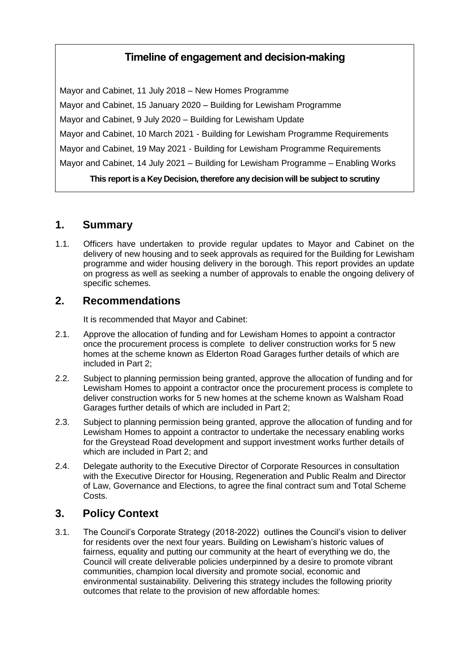# **Timeline of engagement and decision-making**

Mayor and Cabinet, 11 July 2018 – New Homes Programme Mayor and Cabinet, 15 January 2020 – Building for Lewisham Programme Mayor and Cabinet, 9 July 2020 – Building for Lewisham Update Mayor and Cabinet, 10 March 2021 - Building for Lewisham Programme Requirements Mayor and Cabinet, 19 May 2021 - Building for Lewisham Programme Requirements Mayor and Cabinet, 14 July 2021 – Building for Lewisham Programme – Enabling Works

**This report is a Key Decision, therefore any decision will be subject to scrutiny**

### **1. Summary**

1.1. Officers have undertaken to provide regular updates to Mayor and Cabinet on the delivery of new housing and to seek approvals as required for the Building for Lewisham programme and wider housing delivery in the borough. This report provides an update on progress as well as seeking a number of approvals to enable the ongoing delivery of specific schemes.

### **2. Recommendations**

It is recommended that Mayor and Cabinet:

- 2.1. Approve the allocation of funding and for Lewisham Homes to appoint a contractor once the procurement process is complete to deliver construction works for 5 new homes at the scheme known as Elderton Road Garages further details of which are included in Part 2;
- 2.2. Subject to planning permission being granted, approve the allocation of funding and for Lewisham Homes to appoint a contractor once the procurement process is complete to deliver construction works for 5 new homes at the scheme known as Walsham Road Garages further details of which are included in Part 2;
- 2.3. Subject to planning permission being granted, approve the allocation of funding and for Lewisham Homes to appoint a contractor to undertake the necessary enabling works for the Greystead Road development and support investment works further details of which are included in Part 2; and
- 2.4. Delegate authority to the Executive Director of Corporate Resources in consultation with the Executive Director for Housing, Regeneration and Public Realm and Director of Law, Governance and Elections, to agree the final contract sum and Total Scheme Costs.

# **3. Policy Context**

3.1. The Council's Corporate Strategy (2018-2022) outlines the Council's vision to deliver for residents over the next four years. Building on Lewisham's historic values of fairness, equality and putting our community at the heart of everything we do, the Council will create deliverable policies underpinned by a desire to promote vibrant communities, champion local diversity and promote social, economic and environmental sustainability. Delivering this strategy includes the following priority outcomes that relate to the provision of new affordable homes: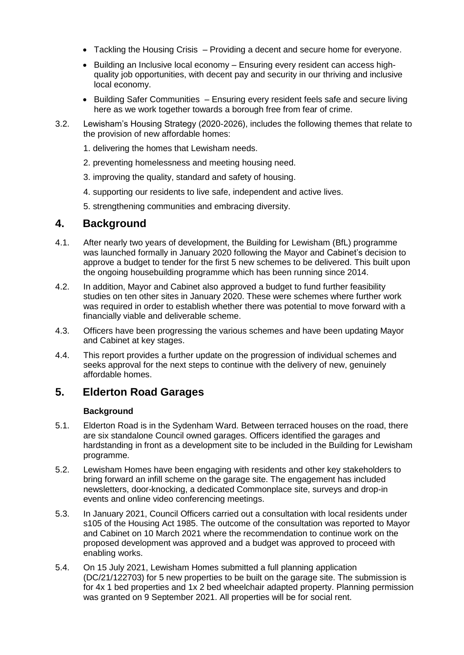- Tackling the Housing Crisis Providing a decent and secure home for everyone.
- Building an Inclusive local economy Ensuring every resident can access highquality job opportunities, with decent pay and security in our thriving and inclusive local economy.
- Building Safer Communities Ensuring every resident feels safe and secure living here as we work together towards a borough free from fear of crime.
- 3.2. Lewisham's Housing Strategy (2020-2026), includes the following themes that relate to the provision of new affordable homes:
	- 1. delivering the homes that Lewisham needs.
	- 2. preventing homelessness and meeting housing need.
	- 3. improving the quality, standard and safety of housing.
	- 4. supporting our residents to live safe, independent and active lives.
	- 5. strengthening communities and embracing diversity.

### **4. Background**

- 4.1. After nearly two years of development, the Building for Lewisham (BfL) programme was launched formally in January 2020 following the Mayor and Cabinet's decision to approve a budget to tender for the first 5 new schemes to be delivered. This built upon the ongoing housebuilding programme which has been running since 2014.
- 4.2. In addition, Mayor and Cabinet also approved a budget to fund further feasibility studies on ten other sites in January 2020. These were schemes where further work was required in order to establish whether there was potential to move forward with a financially viable and deliverable scheme.
- 4.3. Officers have been progressing the various schemes and have been updating Mayor and Cabinet at key stages.
- 4.4. This report provides a further update on the progression of individual schemes and seeks approval for the next steps to continue with the delivery of new, genuinely affordable homes.

### **5. Elderton Road Garages**

#### **Background**

- 5.1. Elderton Road is in the Sydenham Ward. Between terraced houses on the road, there are six standalone Council owned garages. Officers identified the garages and hardstanding in front as a development site to be included in the Building for Lewisham programme.
- 5.2. Lewisham Homes have been engaging with residents and other key stakeholders to bring forward an infill scheme on the garage site. The engagement has included newsletters, door-knocking, a dedicated Commonplace site, surveys and drop-in events and online video conferencing meetings.
- 5.3. In January 2021, Council Officers carried out a consultation with local residents under s105 of the Housing Act 1985. The outcome of the consultation was reported to Mayor and Cabinet on 10 March 2021 where the recommendation to continue work on the proposed development was approved and a budget was approved to proceed with enabling works.
- 5.4. On 15 July 2021, Lewisham Homes submitted a full planning application (DC/21/122703) for 5 new properties to be built on the garage site. The submission is for 4x 1 bed properties and 1x 2 bed wheelchair adapted property. Planning permission was granted on 9 September 2021. All properties will be for social rent.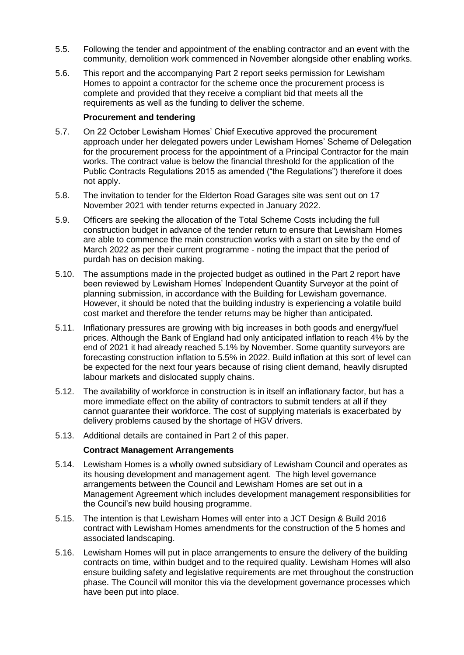- 5.5. Following the tender and appointment of the enabling contractor and an event with the community, demolition work commenced in November alongside other enabling works.
- 5.6. This report and the accompanying Part 2 report seeks permission for Lewisham Homes to appoint a contractor for the scheme once the procurement process is complete and provided that they receive a compliant bid that meets all the requirements as well as the funding to deliver the scheme.

#### **Procurement and tendering**

- 5.7. On 22 October Lewisham Homes' Chief Executive approved the procurement approach under her delegated powers under Lewisham Homes' Scheme of Delegation for the procurement process for the appointment of a Principal Contractor for the main works. The contract value is below the financial threshold for the application of the Public Contracts Regulations 2015 as amended ("the Regulations") therefore it does not apply.
- 5.8. The invitation to tender for the Elderton Road Garages site was sent out on 17 November 2021 with tender returns expected in January 2022.
- 5.9. Officers are seeking the allocation of the Total Scheme Costs including the full construction budget in advance of the tender return to ensure that Lewisham Homes are able to commence the main construction works with a start on site by the end of March 2022 as per their current programme - noting the impact that the period of purdah has on decision making.
- 5.10. The assumptions made in the projected budget as outlined in the Part 2 report have been reviewed by Lewisham Homes' Independent Quantity Surveyor at the point of planning submission, in accordance with the Building for Lewisham governance. However, it should be noted that the building industry is experiencing a volatile build cost market and therefore the tender returns may be higher than anticipated.
- 5.11. Inflationary pressures are growing with big increases in both goods and energy/fuel prices. Although the Bank of England had only anticipated inflation to reach 4% by the end of 2021 it had already reached 5.1% by November. Some quantity surveyors are forecasting construction inflation to 5.5% in 2022. Build inflation at this sort of level can be expected for the next four years because of rising client demand, heavily disrupted labour markets and dislocated supply chains.
- 5.12. The availability of workforce in construction is in itself an inflationary factor, but has a more immediate effect on the ability of contractors to submit tenders at all if they cannot guarantee their workforce. The cost of supplying materials is exacerbated by delivery problems caused by the shortage of HGV drivers.
- 5.13. Additional details are contained in Part 2 of this paper.

#### **Contract Management Arrangements**

- 5.14. Lewisham Homes is a wholly owned subsidiary of Lewisham Council and operates as its housing development and management agent. The high level governance arrangements between the Council and Lewisham Homes are set out in a Management Agreement which includes development management responsibilities for the Council's new build housing programme.
- 5.15. The intention is that Lewisham Homes will enter into a JCT Design & Build 2016 contract with Lewisham Homes amendments for the construction of the 5 homes and associated landscaping.
- 5.16. Lewisham Homes will put in place arrangements to ensure the delivery of the building contracts on time, within budget and to the required quality. Lewisham Homes will also ensure building safety and legislative requirements are met throughout the construction phase. The Council will monitor this via the development governance processes which have been put into place.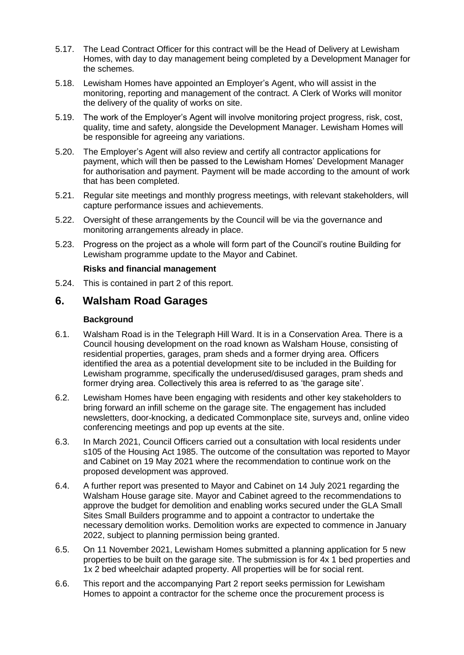- 5.17. The Lead Contract Officer for this contract will be the Head of Delivery at Lewisham Homes, with day to day management being completed by a Development Manager for the schemes.
- 5.18. Lewisham Homes have appointed an Employer's Agent, who will assist in the monitoring, reporting and management of the contract. A Clerk of Works will monitor the delivery of the quality of works on site.
- 5.19. The work of the Employer's Agent will involve monitoring project progress, risk, cost, quality, time and safety, alongside the Development Manager. Lewisham Homes will be responsible for agreeing any variations.
- 5.20. The Employer's Agent will also review and certify all contractor applications for payment, which will then be passed to the Lewisham Homes' Development Manager for authorisation and payment. Payment will be made according to the amount of work that has been completed.
- 5.21. Regular site meetings and monthly progress meetings, with relevant stakeholders, will capture performance issues and achievements.
- 5.22. Oversight of these arrangements by the Council will be via the governance and monitoring arrangements already in place.
- 5.23. Progress on the project as a whole will form part of the Council's routine Building for Lewisham programme update to the Mayor and Cabinet.

#### **Risks and financial management**

5.24. This is contained in part 2 of this report.

### **6. Walsham Road Garages**

#### **Background**

- 6.1. Walsham Road is in the Telegraph Hill Ward. It is in a Conservation Area. There is a Council housing development on the road known as Walsham House, consisting of residential properties, garages, pram sheds and a former drying area. Officers identified the area as a potential development site to be included in the Building for Lewisham programme, specifically the underused/disused garages, pram sheds and former drying area. Collectively this area is referred to as 'the garage site'.
- 6.2. Lewisham Homes have been engaging with residents and other key stakeholders to bring forward an infill scheme on the garage site. The engagement has included newsletters, door-knocking, a dedicated Commonplace site, surveys and, online video conferencing meetings and pop up events at the site.
- 6.3. In March 2021, Council Officers carried out a consultation with local residents under s105 of the Housing Act 1985. The outcome of the consultation was reported to Mayor and Cabinet on 19 May 2021 where the recommendation to continue work on the proposed development was approved.
- 6.4. A further report was presented to Mayor and Cabinet on 14 July 2021 regarding the Walsham House garage site. Mayor and Cabinet agreed to the recommendations to approve the budget for demolition and enabling works secured under the GLA Small Sites Small Builders programme and to appoint a contractor to undertake the necessary demolition works. Demolition works are expected to commence in January 2022, subject to planning permission being granted.
- 6.5. On 11 November 2021, Lewisham Homes submitted a planning application for 5 new properties to be built on the garage site. The submission is for 4x 1 bed properties and 1x 2 bed wheelchair adapted property. All properties will be for social rent.
- 6.6. This report and the accompanying Part 2 report seeks permission for Lewisham Homes to appoint a contractor for the scheme once the procurement process is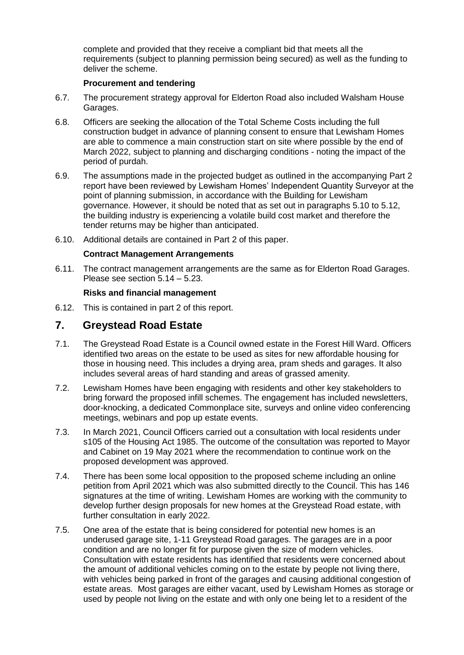complete and provided that they receive a compliant bid that meets all the requirements (subject to planning permission being secured) as well as the funding to deliver the scheme.

#### **Procurement and tendering**

- 6.7. The procurement strategy approval for Elderton Road also included Walsham House Garages.
- 6.8. Officers are seeking the allocation of the Total Scheme Costs including the full construction budget in advance of planning consent to ensure that Lewisham Homes are able to commence a main construction start on site where possible by the end of March 2022, subject to planning and discharging conditions - noting the impact of the period of purdah.
- 6.9. The assumptions made in the projected budget as outlined in the accompanying Part 2 report have been reviewed by Lewisham Homes' Independent Quantity Surveyor at the point of planning submission, in accordance with the Building for Lewisham governance. However, it should be noted that as set out in paragraphs 5.10 to 5.12, the building industry is experiencing a volatile build cost market and therefore the tender returns may be higher than anticipated.
- 6.10. Additional details are contained in Part 2 of this paper.

#### **Contract Management Arrangements**

6.11. The contract management arrangements are the same as for Elderton Road Garages. Please see section 5.14 – 5.23.

#### **Risks and financial management**

6.12. This is contained in part 2 of this report.

### **7. Greystead Road Estate**

- 7.1. The Greystead Road Estate is a Council owned estate in the Forest Hill Ward. Officers identified two areas on the estate to be used as sites for new affordable housing for those in housing need. This includes a drying area, pram sheds and garages. It also includes several areas of hard standing and areas of grassed amenity.
- 7.2. Lewisham Homes have been engaging with residents and other key stakeholders to bring forward the proposed infill schemes. The engagement has included newsletters, door-knocking, a dedicated Commonplace site, surveys and online video conferencing meetings, webinars and pop up estate events.
- 7.3. In March 2021, Council Officers carried out a consultation with local residents under s105 of the Housing Act 1985. The outcome of the consultation was reported to Mayor and Cabinet on 19 May 2021 where the recommendation to continue work on the proposed development was approved.
- 7.4. There has been some local opposition to the proposed scheme including an online petition from April 2021 which was also submitted directly to the Council. This has 146 signatures at the time of writing. Lewisham Homes are working with the community to develop further design proposals for new homes at the Greystead Road estate, with further consultation in early 2022.
- 7.5. One area of the estate that is being considered for potential new homes is an underused garage site, 1-11 Greystead Road garages. The garages are in a poor condition and are no longer fit for purpose given the size of modern vehicles. Consultation with estate residents has identified that residents were concerned about the amount of additional vehicles coming on to the estate by people not living there, with vehicles being parked in front of the garages and causing additional congestion of estate areas. Most garages are either vacant, used by Lewisham Homes as storage or used by people not living on the estate and with only one being let to a resident of the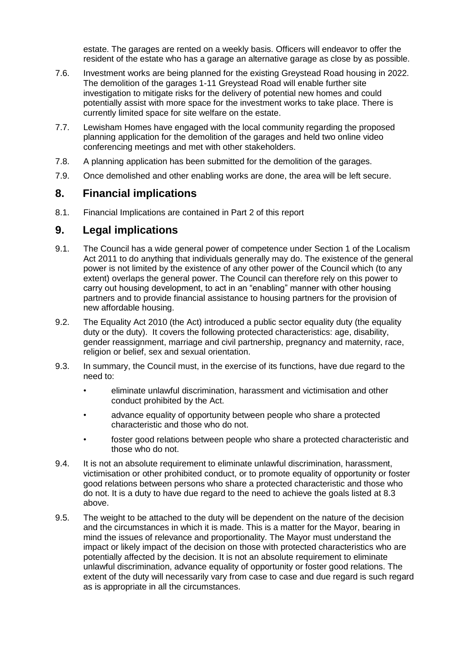estate. The garages are rented on a weekly basis. Officers will endeavor to offer the resident of the estate who has a garage an alternative garage as close by as possible.

- 7.6. Investment works are being planned for the existing Greystead Road housing in 2022. The demolition of the garages 1-11 Greystead Road will enable further site investigation to mitigate risks for the delivery of potential new homes and could potentially assist with more space for the investment works to take place. There is currently limited space for site welfare on the estate.
- 7.7. Lewisham Homes have engaged with the local community regarding the proposed planning application for the demolition of the garages and held two online video conferencing meetings and met with other stakeholders.
- 7.8. A planning application has been submitted for the demolition of the garages.
- 7.9. Once demolished and other enabling works are done, the area will be left secure.

### **8. Financial implications**

8.1. Financial Implications are contained in Part 2 of this report

### **9. Legal implications**

- 9.1. The Council has a wide general power of competence under Section 1 of the Localism Act 2011 to do anything that individuals generally may do. The existence of the general power is not limited by the existence of any other power of the Council which (to any extent) overlaps the general power. The Council can therefore rely on this power to carry out housing development, to act in an "enabling" manner with other housing partners and to provide financial assistance to housing partners for the provision of new affordable housing.
- 9.2. The Equality Act 2010 (the Act) introduced a public sector equality duty (the equality duty or the duty). It covers the following protected characteristics: age, disability, gender reassignment, marriage and civil partnership, pregnancy and maternity, race, religion or belief, sex and sexual orientation.
- 9.3. In summary, the Council must, in the exercise of its functions, have due regard to the need to:
	- eliminate unlawful discrimination, harassment and victimisation and other conduct prohibited by the Act.
	- advance equality of opportunity between people who share a protected characteristic and those who do not.
	- foster good relations between people who share a protected characteristic and those who do not.
- 9.4. It is not an absolute requirement to eliminate unlawful discrimination, harassment, victimisation or other prohibited conduct, or to promote equality of opportunity or foster good relations between persons who share a protected characteristic and those who do not. It is a duty to have due regard to the need to achieve the goals listed at 8.3 above.
- 9.5. The weight to be attached to the duty will be dependent on the nature of the decision and the circumstances in which it is made. This is a matter for the Mayor, bearing in mind the issues of relevance and proportionality. The Mayor must understand the impact or likely impact of the decision on those with protected characteristics who are potentially affected by the decision. It is not an absolute requirement to eliminate unlawful discrimination, advance equality of opportunity or foster good relations. The extent of the duty will necessarily vary from case to case and due regard is such regard as is appropriate in all the circumstances.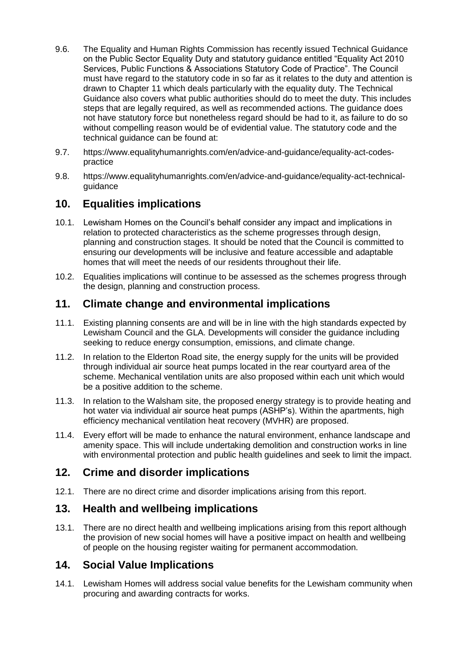- 9.6. The Equality and Human Rights Commission has recently issued Technical Guidance on the Public Sector Equality Duty and statutory guidance entitled "Equality Act 2010 Services, Public Functions & Associations Statutory Code of Practice". The Council must have regard to the statutory code in so far as it relates to the duty and attention is drawn to Chapter 11 which deals particularly with the equality duty. The Technical Guidance also covers what public authorities should do to meet the duty. This includes steps that are legally required, as well as recommended actions. The guidance does not have statutory force but nonetheless regard should be had to it, as failure to do so without compelling reason would be of evidential value. The statutory code and the technical guidance can be found at:
- 9.7. https://www.equalityhumanrights.com/en/advice-and-guidance/equality-act-codespractice
- 9.8. https://www.equalityhumanrights.com/en/advice-and-guidance/equality-act-technicalguidance

## **10. Equalities implications**

- 10.1. Lewisham Homes on the Council's behalf consider any impact and implications in relation to protected characteristics as the scheme progresses through design, planning and construction stages. It should be noted that the Council is committed to ensuring our developments will be inclusive and feature accessible and adaptable homes that will meet the needs of our residents throughout their life.
- 10.2. Equalities implications will continue to be assessed as the schemes progress through the design, planning and construction process.

### **11. Climate change and environmental implications**

- 11.1. Existing planning consents are and will be in line with the high standards expected by Lewisham Council and the GLA. Developments will consider the guidance including seeking to reduce energy consumption, emissions, and climate change.
- 11.2. In relation to the Elderton Road site, the energy supply for the units will be provided through individual air source heat pumps located in the rear courtyard area of the scheme. Mechanical ventilation units are also proposed within each unit which would be a positive addition to the scheme.
- 11.3. In relation to the Walsham site, the proposed energy strategy is to provide heating and hot water via individual air source heat pumps (ASHP's). Within the apartments, high efficiency mechanical ventilation heat recovery (MVHR) are proposed.
- 11.4. Every effort will be made to enhance the natural environment, enhance landscape and amenity space. This will include undertaking demolition and construction works in line with environmental protection and public health guidelines and seek to limit the impact.

### **12. Crime and disorder implications**

12.1. There are no direct crime and disorder implications arising from this report.

# **13. Health and wellbeing implications**

13.1. There are no direct health and wellbeing implications arising from this report although the provision of new social homes will have a positive impact on health and wellbeing of people on the housing register waiting for permanent accommodation.

### **14. Social Value Implications**

14.1. Lewisham Homes will address social value benefits for the Lewisham community when procuring and awarding contracts for works.